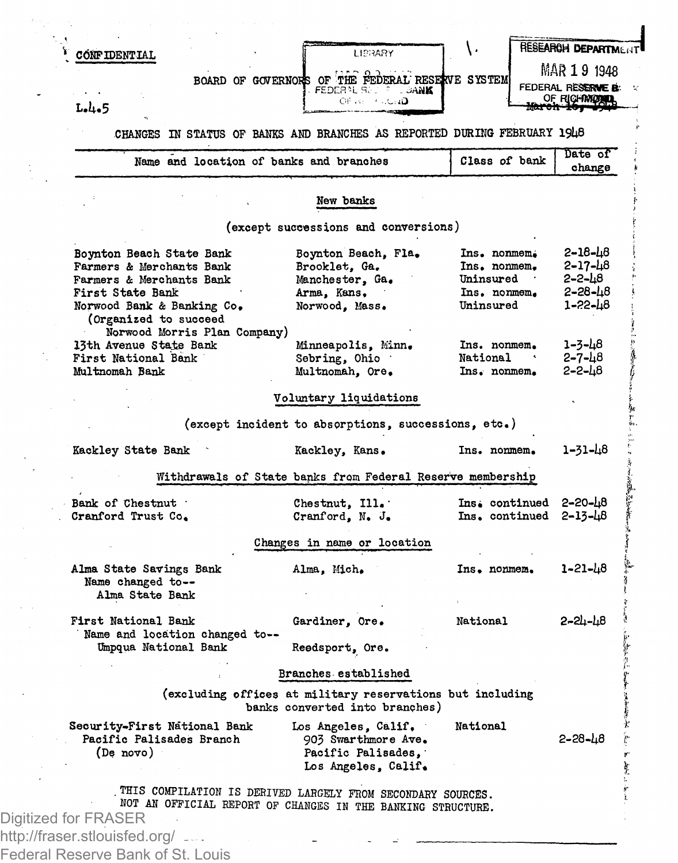| <b>CONFIDENTIAL</b>                                                                                                                                         |                              | BOARD OF GOVERNORS OF THE FEDERAL RESERVE SYSTEM                                            | FEDERAL BELL FILL DANK                                                                  |                                                                          | MAR 1 9 1948<br>FEDERAL RESERVE B:                       |
|-------------------------------------------------------------------------------------------------------------------------------------------------------------|------------------------------|---------------------------------------------------------------------------------------------|-----------------------------------------------------------------------------------------|--------------------------------------------------------------------------|----------------------------------------------------------|
| L.L.5                                                                                                                                                       |                              |                                                                                             | Of an institute ap-                                                                     |                                                                          | OF RICHMOND<br>يتبيت                                     |
|                                                                                                                                                             |                              |                                                                                             |                                                                                         | CHANGES IN STATUS OF BANKS AND BRANCHES AS REPORTED DURING FEBRUARY 1948 |                                                          |
|                                                                                                                                                             |                              | Name and location of banks and branches                                                     |                                                                                         | Class of bank                                                            | Date of<br>change                                        |
|                                                                                                                                                             |                              | New banks                                                                                   |                                                                                         |                                                                          |                                                          |
|                                                                                                                                                             |                              | (except successions and conversions)                                                        |                                                                                         |                                                                          |                                                          |
| Boynton Beach State Bank<br>Farmers & Merchants Bank<br>Farmers & Merchants Bank<br>First State Bank<br>Norwood Bank & Banking Co.<br>(Organized to succeed |                              | Brooklet, Ga.<br>Manchester, Ga.<br>Arma, Kans,<br>Norwood, Mass.                           | Boynton Beach, Fla.                                                                     | Ins. nonmem.<br>Ins. nonmem.<br>Uninsured .<br>Ins. nonmem.<br>Uninsured | 2–18–48<br>$2 - 17 - 48$<br>2-2-48<br>2-28-48<br>1-22-48 |
| 13th Avenue State Bank<br>First National Bank<br>Multnomah Bank                                                                                             | Norwood Morris Plan Company) | Sebring, Ohio<br>Multnomah, Ore.                                                            | Minneapolis, Minn.                                                                      | Ins. nonmem.<br>National<br>Ins. nonmem.                                 | 1-3-48<br>$2 - 7 - 48$<br>2-2-48                         |
|                                                                                                                                                             |                              | Voluntary liquidations                                                                      |                                                                                         |                                                                          |                                                          |
|                                                                                                                                                             |                              | (except incident to absorptions, successions, etc.)                                         |                                                                                         |                                                                          |                                                          |
| Kackley State Bank                                                                                                                                          |                              | Kackley, Kans.                                                                              |                                                                                         | Ins. nonmem.                                                             | 1-31-48                                                  |
|                                                                                                                                                             |                              | Withdrawals of State banks from Federal Reserve membership                                  |                                                                                         |                                                                          |                                                          |
| Bank of Chestnut<br>Cranford Trust Co.                                                                                                                      |                              | Chestnut, Ill.<br>Cranford, N. J.                                                           |                                                                                         | Ins. continued 2-20-48<br>$Ins.$ continued $2 - 13 - 48$                 |                                                          |
|                                                                                                                                                             |                              | Changes in name or location                                                                 |                                                                                         |                                                                          |                                                          |
| Alma State Savings Bank<br>Name changed to --<br>Alma State Bank                                                                                            |                              | Alma, Mich.                                                                                 |                                                                                         | Ins. nonmem.                                                             | 1-21-48                                                  |
| First National Bank<br>Name and location changed to--<br>Umpqua National Bank                                                                               |                              | Gardiner, Ore.<br>Reedsport, Ore.                                                           |                                                                                         | National                                                                 | $2 - 24 - 48$                                            |
|                                                                                                                                                             |                              | Branches established                                                                        |                                                                                         |                                                                          |                                                          |
|                                                                                                                                                             |                              | (excluding offices at military reservations but including<br>banks converted into branches) |                                                                                         |                                                                          |                                                          |
| Security-First National Bank<br>Pacific Palisades Branch<br>(De novo)                                                                                       |                              |                                                                                             | Los Angeles, Calif.<br>903 Swarthmore Ave.<br>Pacific Palisades,<br>Los Angeles, Calif. | National                                                                 | $2 - 28 - 48$                                            |
|                                                                                                                                                             |                              |                                                                                             |                                                                                         |                                                                          |                                                          |

Federal Reserve Bank of St. Louis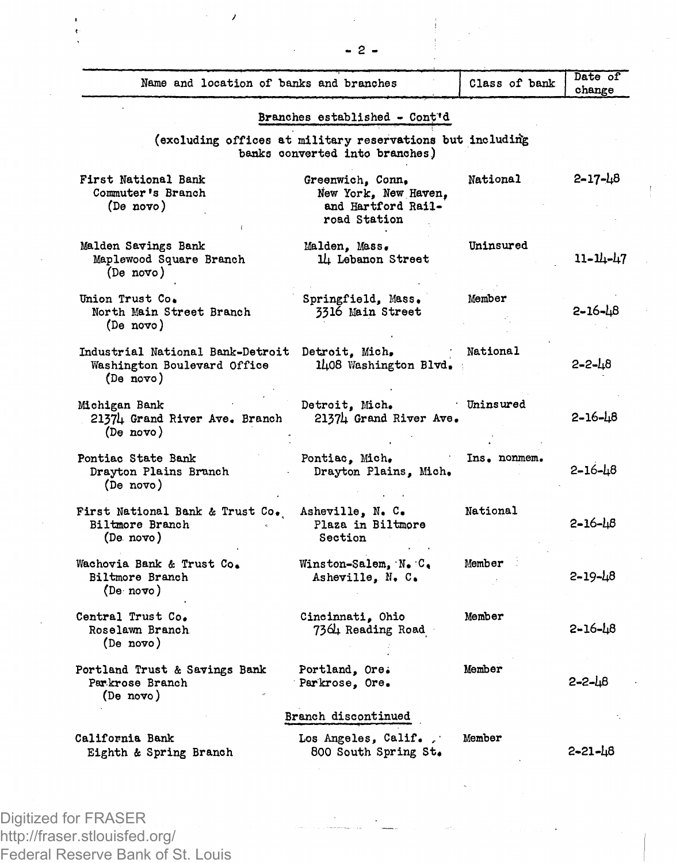| Name and location of banks and branches                                      |                                                                                             | Class of bank | Date of<br>change |
|------------------------------------------------------------------------------|---------------------------------------------------------------------------------------------|---------------|-------------------|
|                                                                              | Branches established - Cont'd                                                               |               |                   |
|                                                                              | (excluding offices at military reservations but including<br>banks converted into branches) |               |                   |
| First National Bank<br>Commuter's Branch<br>(De novo)                        | Greenwich, Conn.<br>New York, New Haven,<br>and Hartford Rail-<br>road Station              | National      | 2-17-48           |
| Malden Savings Bank<br>Maplewood Square Branch<br>(De novo)                  | Malden, Mass.<br>l4 Lebanon Street                                                          | Uninsured     | 11-14-47          |
| Union Trust Co.<br>North Main Street Branch<br>(De novo)                     | Springfield, Mass.<br>3316 Main Street                                                      | Member        | 2-16-48           |
| Industrial National Bank-Detroit<br>Washington Boulevard Office<br>(De novo) | Detroit, Mich.<br>1408 Washington Blvd.                                                     | National      | $2 - 2 - 18$      |
| Michigan Bank<br>21374 Grand River Ave. Branch<br>(De novo)                  | Detroit, Mich.<br>21374 Grand River Ave.                                                    | Uninsured     | $2 - 16 - 18$     |
| Pontiac State Bank<br>Drayton Plains Branch<br>(De novo)                     | Pontiac, Mich.<br>Drayton Plains, Mich.                                                     | Ins. nonmem.  | 2–16–18           |
| First National Bank & Trust Co.<br>Biltmore Branch<br>(De novo)              | Asheville, N. C.<br>Plaza in Biltmore<br>Section                                            | National      | $2 - 16 - 18$     |
| Wachovia Bank & Trust Co.<br>Biltmore Branch<br>(De novo)                    | Winston-Salem, N. C.<br>Asheville, N. C.                                                    | Member        | $2 - 19 - 48$     |
| Central Trust Co.<br>Roselawn Branch<br>(De novo)                            | Cincinnati, Ohio<br>7364 Reading Road                                                       | Member        | 5-16-48           |
| Portland Trust & Savings Bank<br>Parkrose Branch<br>(De novo)                | Portland, Ore.<br>Parkrose, Ore.                                                            | Member        | 2-2-48            |
|                                                                              | Branch discontinued                                                                         |               |                   |
| California Bank<br>Eighth & Spring Branch                                    | Los Angeles, Calif.,<br>800 South Spring St.                                                | Member        | 2-21-48           |
|                                                                              |                                                                                             |               |                   |

Digitized for FRASER http://fraser.stlouisfed.org/ Federal Reserve Bank of St. Louis